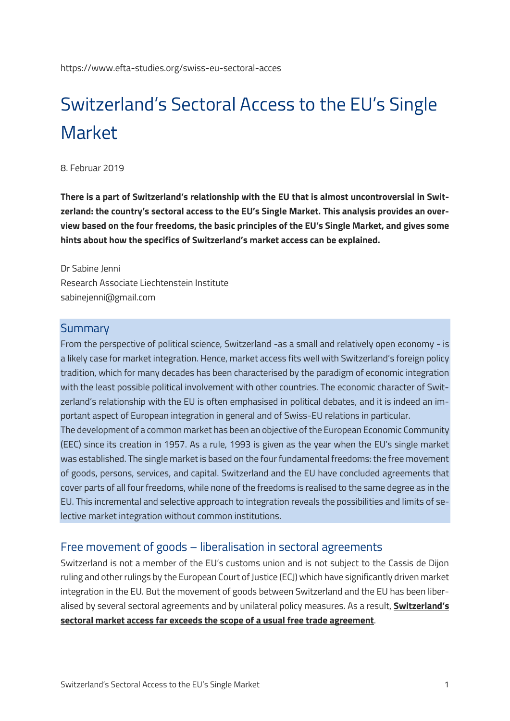# Switzerland's Sectoral Access to the EU's Single Market

8. Februar 2019

**There is a part of Switzerland's relationship with the EU that is almost uncontroversial in Switzerland: the country's sectoral access to the EU's Single Market. This analysis provides an overview based on the four freedoms, the basic principles of the EU's Single Market, and gives some hints about how the specifics of Switzerland's market access can be explained.**

Dr Sabine Jenni Research Associate Liechtenstein Institute sabinejenni@gmail.com

#### **Summary**

From the perspective of political science, Switzerland -as a small and relatively open economy - is a likely case for market integration. Hence, market access fits well with Switzerland's foreign policy tradition, which for many decades has been characterised by the paradigm of economic integration with the least possible political involvement with other countries. The economic character of Switzerland's relationship with the EU is often emphasised in political debates, and it is indeed an important aspect of European integration in general and of Swiss-EU relations in particular.

The development of a common market has been an objective of the European Economic Community (EEC) since its creation in 1957. As a rule, 1993 is given as the year when the EU's single market was established. The single market is based on the four fundamental freedoms: the free movement of goods, persons, services, and capital. Switzerland and the EU have concluded agreements that cover parts of all four freedoms, while none of the freedoms is realised to the same degree as in the EU. This incremental and selective approach to integration reveals the possibilities and limits of selective market integration without common institutions.

#### Free movement of goods – liberalisation in sectoral agreements

Switzerland is not a member of the EU's customs union and is not subject to the Cassis de Dijon ruling and other rulings by the European Court of Justice (ECJ) which have significantly driven market integration in the EU. But the movement of goods between Switzerland and the EU has been liberalised by several sectoral agreements and by unilateral policy measures. As a result, **[Switzerland's](https://www.eda.admin.ch/dam/dea/de/documents/berichte_botschaften/BR-Bericht-150605_de.pdf)  [sectoral market access far exceeds the scope of a usual free trade agreement](https://www.eda.admin.ch/dam/dea/de/documents/berichte_botschaften/BR-Bericht-150605_de.pdf)**.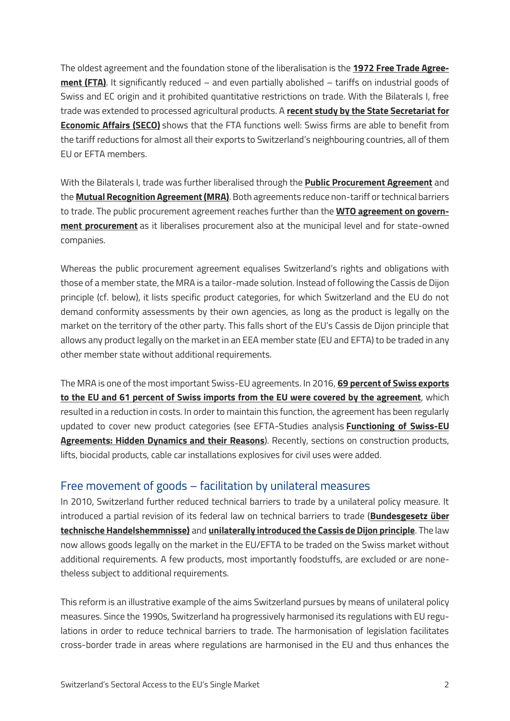The oldest agreement and the foundation stone of the liberalisation is the **[1972 Free Trade Agree](https://www.eda.admin.ch/dea/en/home/bilaterale-abkommen/ueberblick/bilaterale-abkommen-bis-1999/freihandel.html)[ment \(FTA\)](https://www.eda.admin.ch/dea/en/home/bilaterale-abkommen/ueberblick/bilaterale-abkommen-bis-1999/freihandel.html)**. It significantly reduced – and even partially abolished – tariffs on industrial goods of Swiss and EC origin and it prohibited quantitative restrictions on trade. With the Bilaterals I, free trade was extended to processed agricultural products. A **[recent study by the State Secretariat for](https://www.seco.admin.ch/seco/en/home/Publikationen_Dienstleistungen/Publikationen_und_Formulare/Aussenwirtschafts/Freihandelsabkommen/bedeutung-fha.html)  [Economic Affairs \(SECO\)](https://www.seco.admin.ch/seco/en/home/Publikationen_Dienstleistungen/Publikationen_und_Formulare/Aussenwirtschafts/Freihandelsabkommen/bedeutung-fha.html)** shows that the FTA functions well: Swiss firms are able to benefit from the tariff reductions for almost all their exports to Switzerland's neighbouring countries, all of them EU or EFTA members.

With the Bilaterals I, trade was further liberalised through the **[Public Procurement Agreement](https://www.eda.admin.ch/dea/en/home/bilaterale-abkommen/ueberblick/bilaterale-abkommen-1/oeffentliches-beschaffungswesen.html)** and the **[Mutual Recognition Agreement \(MRA\)](https://www.eda.admin.ch/dea/en/home/bilaterale-abkommen/ueberblick/bilaterale-abkommen-1/technische-handelshemmnisse.html)**. Both agreements reduce non-tariff or technical barriers to trade. The public procurement agreement reaches further than the **[WTO agreement on govern](https://www.wto.org/english/tratop_e/gproc_e/gp_gpa_e.htm)[ment procurement](https://www.wto.org/english/tratop_e/gproc_e/gp_gpa_e.htm)** as it liberalises procurement also at the municipal level and for state-owned companies.

Whereas the public procurement agreement equalises Switzerland's rights and obligations with those of a member state, the MRA is a tailor-made solution. Instead of following the Cassis de Dijon principle (cf. below), it lists specific product categories, for which Switzerland and the EU do not demand conformity assessments by their own agencies, as long as the product is legally on the market on the territory of the other party. This falls short of the EU's Cassis de Dijon principle that allows any product legally on the market in an EEA member state (EU and EFTA) to be traded in any other member state without additional requirements.

The MRA is one of the most important Swiss-EU agreements. In 2016, **[69 percent of Swiss exports](https://www.newsd.admin.ch/newsd/message/attachments/50949.pdf)  [to the EU and 61 percent of Swiss imports from the EU were covered by the agreement](https://www.newsd.admin.ch/newsd/message/attachments/50949.pdf)**, which resulted in a reduction in costs. In order to maintain this function, the agreement has been regularly updated to cover new product categories (see EFTA-Studies analysis **[Functioning of Swiss-EU](https://www.efta-studies.org/swiss-eu-functioning-of-agreements)  [Agreements: Hidden Dynamics and their Reasons](https://www.efta-studies.org/swiss-eu-functioning-of-agreements)**). Recently, sections on construction products, lifts, biocidal products, cable car installations explosives for civil uses were added.

#### Free movement of goods – facilitation by unilateral measures

In 2010, Switzerland further reduced technical barriers to trade by a unilateral policy measure. It introduced a partial revision of its federal law on technical barriers to trade (**[Bundesgesetz über](https://www.admin.ch/opc/de/classified-compilation/19950286/index.html)  [technische Handelshemmnisse\)](https://www.admin.ch/opc/de/classified-compilation/19950286/index.html)** and **[unilaterally introduced the Cassis de Dijon principle](https://www.seco.admin.ch/seco/en/home/Aussenwirtschaftspolitik_Wirtschaftliche_Zusammenarbeit/Wirtschaftsbeziehungen/Technische_Handelshemmnisse/Cassis-de-Dijon-Prinzip.html)**. The law now allows goods legally on the market in the EU/EFTA to be traded on the Swiss market without additional requirements. A few products, most importantly foodstuffs, are excluded or are nonetheless subject to additional requirements.

This reform is an illustrative example of the aims Switzerland pursues by means of unilateral policy measures. Since the 1990s, Switzerland ha progressively harmonised its regulations with EU regulations in order to reduce technical barriers to trade. The harmonisation of legislation facilitates cross-border trade in areas where regulations are harmonised in the EU and thus enhances the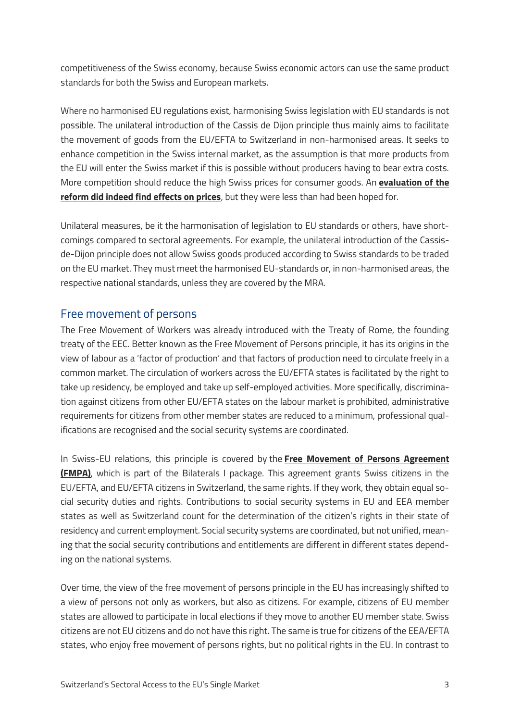competitiveness of the Swiss economy, because Swiss economic actors can use the same product standards for both the Swiss and European markets.

Where no harmonised EU regulations exist, harmonising Swiss legislation with EU standards is not possible. The unilateral introduction of the Cassis de Dijon principle thus mainly aims to facilitate the movement of goods from the EU/EFTA to Switzerland in non-harmonised areas. It seeks to enhance competition in the Swiss internal market, as the assumption is that more products from the EU will enter the Swiss market if this is possible without producers having to bear extra costs. More competition should reduce the high Swiss prices for consumer goods. An **[evaluation of the](https://www.seco.admin.ch/seco/de/home/Publikationen_Dienstleistungen/Publikationen_und_Formulare/Regulierung/regulierungsfolgenabschaetzung/vertiefte-rfa/revision-des-bundesgesetztes-ueber-die-technischen-handelshemmni/regulierungsfolgenabschaetzung--juni-2008-.html)  reform [did indeed find effects on prices](https://www.seco.admin.ch/seco/de/home/Publikationen_Dienstleistungen/Publikationen_und_Formulare/Regulierung/regulierungsfolgenabschaetzung/vertiefte-rfa/revision-des-bundesgesetztes-ueber-die-technischen-handelshemmni/regulierungsfolgenabschaetzung--juni-2008-.html)**, but they were less than had been hoped for.

Unilateral measures, be it the harmonisation of legislation to EU standards or others, have shortcomings compared to sectoral agreements. For example, the unilateral introduction of the Cassisde-Dijon principle does not allow Swiss goods produced according to Swiss standards to be traded on the EU market. They must meet the harmonised EU-standards or, in non-harmonised areas, the respective national standards, unless they are covered by the MRA.

## Free movement of persons

The Free Movement of Workers was already introduced with the Treaty of Rome, the founding treaty of the EEC. Better known as the Free Movement of Persons principle, it has its origins in the view of labour as a 'factor of production' and that factors of production need to circulate freely in a common market. The circulation of workers across the EU/EFTA states is facilitated by the right to take up residency, be employed and take up self-employed activities. More specifically, discrimination against citizens from other EU/EFTA states on the labour market is prohibited, administrative requirements for citizens from other member states are reduced to a minimum, professional qualifications are recognised and the social security systems are coordinated.

In Swiss-EU relations, this principle is covered by the **[Free Movement of Persons Agreement](https://www.eda.admin.ch/dea/en/home/bilaterale-abkommen/ueberblick/bilaterale-abkommen-1/personenfreizuegigkeit.html)  [\(FMPA\)](https://www.eda.admin.ch/dea/en/home/bilaterale-abkommen/ueberblick/bilaterale-abkommen-1/personenfreizuegigkeit.html)**, which is part of the Bilaterals I package. This agreement grants Swiss citizens in the EU/EFTA, and EU/EFTA citizens in Switzerland, the same rights. If they work, they obtain equal social security duties and rights. Contributions to social security systems in EU and EEA member states as well as Switzerland count for the determination of the citizen's rights in their state of residency and current employment. Social security systems are coordinated, but not unified, meaning that the social security contributions and entitlements are different in different states depending on the national systems.

Over time, the view of the free movement of persons principle in the EU has increasingly shifted to a view of persons not only as workers, but also as citizens. For example, citizens of EU member states are allowed to participate in local elections if they move to another EU member state. Swiss citizens are not EU citizens and do not have this right. The same is true for citizens of the EEA/EFTA states, who enjoy free movement of persons rights, but no political rights in the EU. In contrast to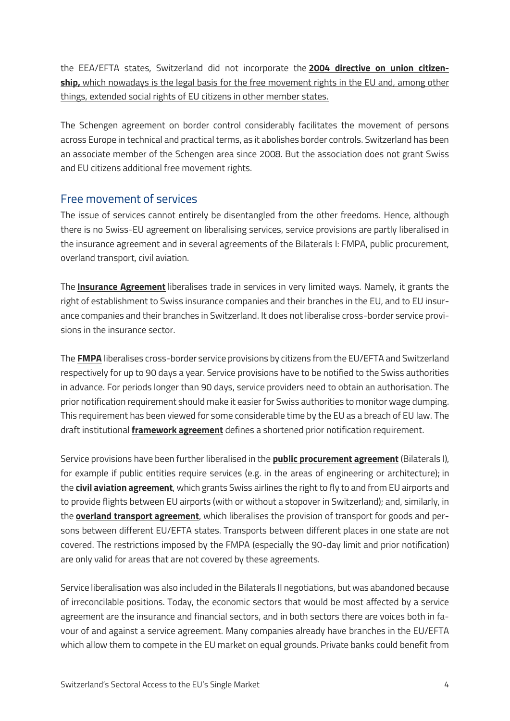the EEA/EFTA states, Switzerland did not incorporate the **[2004 directive on union citizen](https://eur-lex.europa.eu/legal-content/en/ALL/?uri=celex%3A32004L0038)[ship,](https://eur-lex.europa.eu/legal-content/en/ALL/?uri=celex%3A32004L0038)** [which nowadays is the legal basis for the free movement rights in the EU and, among other](https://eur-lex.europa.eu/legal-content/en/ALL/?uri=celex%3A32004L0038)  [things, extended social rights of EU citizens in other member states.](https://eur-lex.europa.eu/legal-content/en/ALL/?uri=celex%3A32004L0038)

The Schengen agreement on border control considerably facilitates the movement of persons across Europe in technical and practical terms, as it abolishes border controls. Switzerland has been an associate member of the Schengen area since 2008. But the association does not grant Swiss and EU citizens additional free movement rights.

#### Free movement of services

The issue of services cannot entirely be disentangled from the other freedoms. Hence, although there is no Swiss-EU agreement on liberalising services, service provisions are partly liberalised in the insurance agreement and in several agreements of the Bilaterals I: FMPA, public procurement, overland transport, civil aviation.

The **[Insurance Agreement](https://www.eda.admin.ch/dam/dea/de/documents/fs/02-FS-Versicherungen_de.pdf)** liberalises trade in services in very limited ways. Namely, it grants the right of establishment to Swiss insurance companies and their branches in the EU, and to EU insurance companies and their branches in Switzerland. It does not liberalise cross-border service provisions in the insurance sector.

The **[FMPA](https://www.eda.admin.ch/dam/dea/de/documents/fs/04-FS-Personenfreizuegigkeit_de.pdf)** liberalises cross-border service provisions by citizens from the EU/EFTA and Switzerland respectively for up to 90 days a year. Service provisions have to be notified to the Swiss authorities in advance. For periods longer than 90 days, service providers need to obtain an authorisation. The prior notification requirement should make it easier for Swiss authorities to monitor wage dumping. This requirement has been viewed for some considerable time by the EU as a breach of EU law. The draft institutional **[framework agreement](https://www.eda.admin.ch/dea/en/home/verhandlungen-offene-themen/verhandlungen/institutionelle-fragen.html)** defines a shortened prior notification requirement.

Service provisions have been further liberalised in the **[public procurement agreement](https://www.eda.admin.ch/dea/en/home/bilaterale-abkommen/ueberblick/bilaterale-abkommen-1/oeffentliches-beschaffungswesen.html)** (Bilaterals I), for example if public entities require services (e.g. in the areas of engineering or architecture); in the **[civil aviation agreement](https://www.eda.admin.ch/dea/en/home/bilaterale-abkommen/ueberblick/bilaterale-abkommen-1/luftverkehr.html)**, which grants Swiss airlines the right to fly to and from EU airports and to provide flights between EU airports (with or without a stopover in Switzerland); and, similarly, in the **[overland transport agreement](https://www.eda.admin.ch/dea/en/home/bilaterale-abkommen/ueberblick/bilaterale-abkommen-1/landverkehr.html)**, which liberalises the provision of transport for goods and persons between different EU/EFTA states. Transports between different places in one state are not covered. The restrictions imposed by the FMPA (especially the 90-day limit and prior notification) are only valid for areas that are not covered by these agreements.

Service liberalisation was also included in the Bilaterals II negotiations, but was abandoned because of irreconcilable positions. Today, the economic sectors that would be most affected by a service agreement are the insurance and financial sectors, and in both sectors there are voices both in favour of and against a service agreement. Many companies already have branches in the EU/EFTA which allow them to compete in the EU market on equal grounds. Private banks could benefit from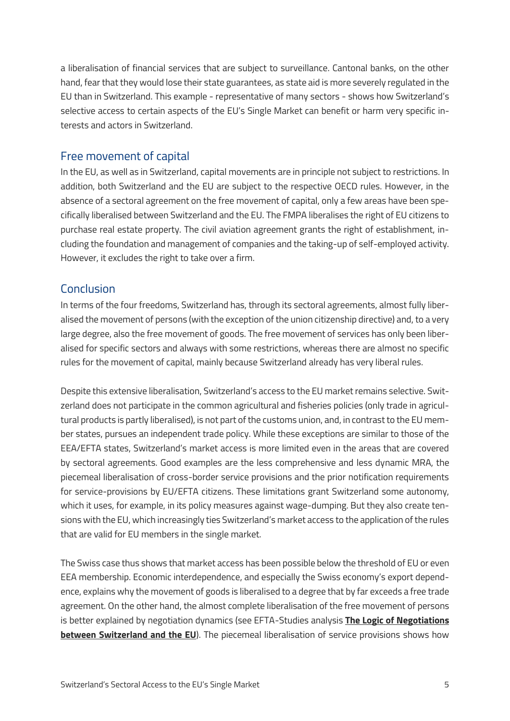a liberalisation of financial services that are subject to surveillance. Cantonal banks, on the other hand, fear that they would lose their state guarantees, as state aid is more severely regulated in the EU than in Switzerland. This example - representative of many sectors - shows how Switzerland's selective access to certain aspects of the EU's Single Market can benefit or harm very specific interests and actors in Switzerland.

#### Free movement of capital

In the EU, as well as in Switzerland, capital movements are in principle not subject to restrictions. In addition, both Switzerland and the EU are subject to the respective OECD rules. However, in the absence of a sectoral agreement on the free movement of capital, only a few areas have been specifically liberalised between Switzerland and the EU. The FMPA liberalises the right of EU citizens to purchase real estate property. The civil aviation agreement grants the right of establishment, including the foundation and management of companies and the taking-up of self-employed activity. However, it excludes the right to take over a firm.

## Conclusion

In terms of the four freedoms, Switzerland has, through its sectoral agreements, almost fully liberalised the movement of persons (with the exception of the union citizenship directive) and, to a very large degree, also the free movement of goods. The free movement of services has only been liberalised for specific sectors and always with some restrictions, whereas there are almost no specific rules for the movement of capital, mainly because Switzerland already has very liberal rules.

Despite this extensive liberalisation, Switzerland's access to the EU market remains selective. Switzerland does not participate in the common agricultural and fisheries policies (only trade in agricultural products is partly liberalised), is not part of the customs union, and, in contrast to the EU member states, pursues an independent trade policy. While these exceptions are similar to those of the EEA/EFTA states, Switzerland's market access is more limited even in the areas that are covered by sectoral agreements. Good examples are the less comprehensive and less dynamic MRA, the piecemeal liberalisation of cross-border service provisions and the prior notification requirements for service-provisions by EU/EFTA citizens. These limitations grant Switzerland some autonomy, which it uses, for example, in its policy measures against wage-dumping. But they also create tensions with the EU, which increasingly ties Switzerland's market access to the application of the rules that are valid for EU members in the single market.

The Swiss case thus shows that market access has been possible below the threshold of EU or even EEA membership. Economic interdependence, and especially the Swiss economy's export dependence, explains why the movement of goods is liberalised to a degree that by far exceeds a free trade agreement. On the other hand, the almost complete liberalisation of the free movement of persons is better explained by negotiation dynamics (see EFTA-Studies analysis **[The Logic of Negotiations](https://www.efta-studies.org/swiss-eu-logic-of-negotiations)  [between Switzerland and the EU](https://www.efta-studies.org/swiss-eu-logic-of-negotiations)**). The piecemeal liberalisation of service provisions shows how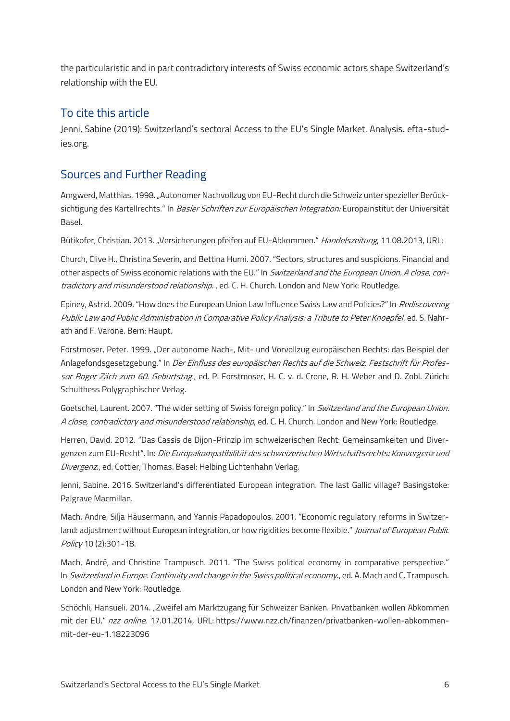the particularistic and in part contradictory interests of Swiss economic actors shape Switzerland's relationship with the EU.

#### To cite this article

Jenni, Sabine (2019): Switzerland's sectoral Access to the EU's Single Market. Analysis. efta-studies.org.

# Sources and Further Reading

Amgwerd, Matthias. 1998. "Autonomer Nachvollzug von EU-Recht durch die Schweiz unter spezieller Berücksichtigung des Kartellrechts." In *Basler Schriften zur Europäischen Integration:* Europainstitut der Universität Basel.

Bütikofer, Christian. 2013. "Versicherungen pfeifen auf EU-Abkommen." Handelszeitung, 11.08.2013, URL:

Church, Clive H., Christina Severin, and Bettina Hurni. 2007. "Sectors, structures and suspicions. Financial and other aspects of Swiss economic relations with the EU." In Switzerland and the European Union. A close, contradictory and misunderstood relationship., ed. C. H. Church. London and New York: Routledge.

Epiney, Astrid. 2009. "How does the European Union Law Influence Swiss Law and Policies?" In *Rediscovering* Public Law and Public Administration in Comparative Policy Analysis: a Tribute to Peter Knoepfel, ed. S. Nahrath and F. Varone. Bern: Haupt.

Forstmoser, Peter. 1999. "Der autonome Nach-, Mit- und Vorvollzug europäischen Rechts: das Beispiel der Anlagefondsgesetzgebung." In Der Einfluss des europäischen Rechts auf die Schweiz. Festschrift für Professor Roger Zäch zum 60. Geburtstag., ed. P. Forstmoser, H. C. v. d. Crone, R. H. Weber and D. Zobl. Zürich: Schulthess Polygraphischer Verlag.

Goetschel, Laurent. 2007. "The wider setting of Swiss foreign policy." In *Switzerland and the European Union.* A close, contradictory and misunderstood relationship, ed. C. H. Church. London and New York: Routledge.

Herren, David. 2012. "Das Cassis de Dijon-Prinzip im schweizerischen Recht: Gemeinsamkeiten und Divergenzen zum EU-Recht". In: Die Europakompatibilität des schweizerischen Wirtschaftsrechts: Konvergenz und Divergenz., ed. Cottier, Thomas. Basel: Helbing Lichtenhahn Verlag.

Jenni, Sabine. 2016. Switzerland's differentiated European integration. The last Gallic village? Basingstoke: Palgrave Macmillan.

Mach, Andre, Silja Häusermann, and Yannis Papadopoulos. 2001. "Economic regulatory reforms in Switzerland: adjustment without European integration, or how rigidities become flexible." Journal of European Public Policy 10 (2):301-18.

Mach, André, and Christine Trampusch. 2011. "The Swiss political economy in comparative perspective." In Switzerland in Europe. Continuity and change in the Swiss political economy., ed. A. Mach and C. Trampusch. London and New York: Routledge.

Schöchli, Hansueli. 2014. "Zweifel am Marktzugang für Schweizer Banken. Privatbanken wollen Abkommen mit der EU." nzz online, 17.01.2014, URL: https://www.nzz.ch/finanzen/privatbanken-wollen-abkommenmit-der-eu-1.18223096